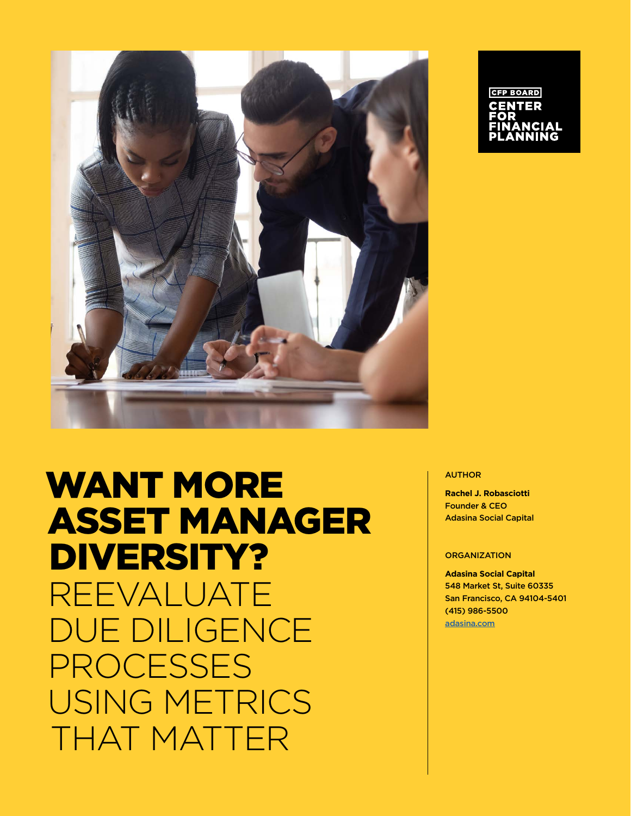

# WANT MORE ASSET MANAGER DIVERSITY? REEVALUATE DUE DILIGENCE PROCESSES USING METRICS THAT MATTER

# **CFP BOARD**

#### AUTHOR

**Rachel J. Robasciotti** Founder & CEO Adasina Social Capital

#### **ORGANIZATION**

**Adasina Social Capital** 548 Market St, Suite 60335 San Francisco, CA 94104-5401 (415) 986-5500 [adasina.com](https://adasina.com)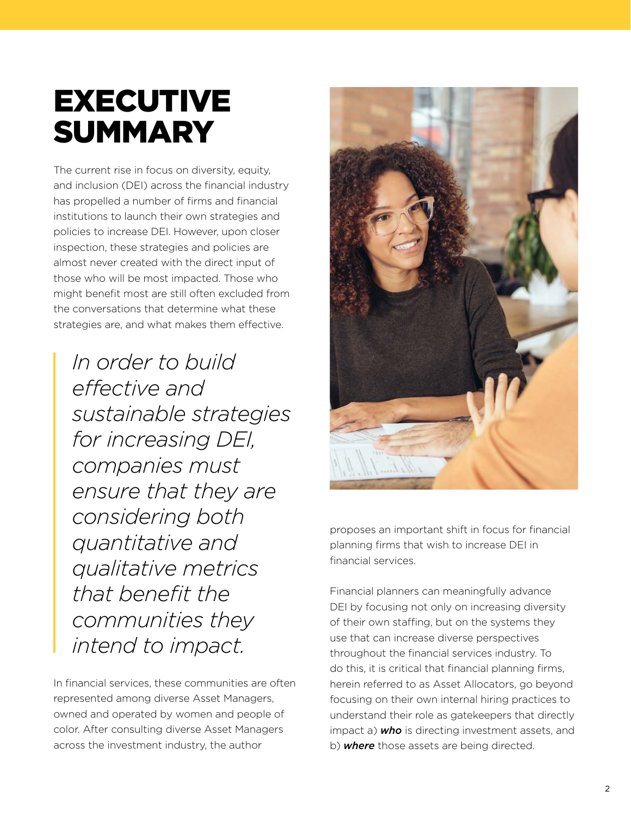# EXECUTIVE **SUMMARY**

The current rise in focus on diversity, equity, and inclusion (DEI) across the financial industry has propelled a number of firms and financial institutions to launch their own strategies and policies to increase DEI. However, upon closer inspection, these strategies and policies are almost never created with the direct input of those who will be most impacted. Those who might benefit most are still often excluded from the conversations that determine what these strategies are, and what makes them effective.

*In order to build effective and sustainable strategies for increasing DEI, companies must ensure that they are considering both quantitative and qualitative metrics that benefit the communities they intend to impact.* 

In financial services, these communities are often represented among diverse Asset Managers, owned and operated by women and people of color. After consulting diverse Asset Managers across the investment industry, the author



proposes an important shift in focus for financial planning firms that wish to increase DEI in financial services.

Financial planners can meaningfully advance DEI by focusing not only on increasing diversity of their own staffing, but on the systems they use that can increase diverse perspectives throughout the financial services industry. To do this, it is critical that financial planning firms, herein referred to as Asset Allocators, go beyond focusing on their own internal hiring practices to understand their role as gatekeepers that directly impact a) *who* is directing investment assets, and b) *where* those assets are being directed.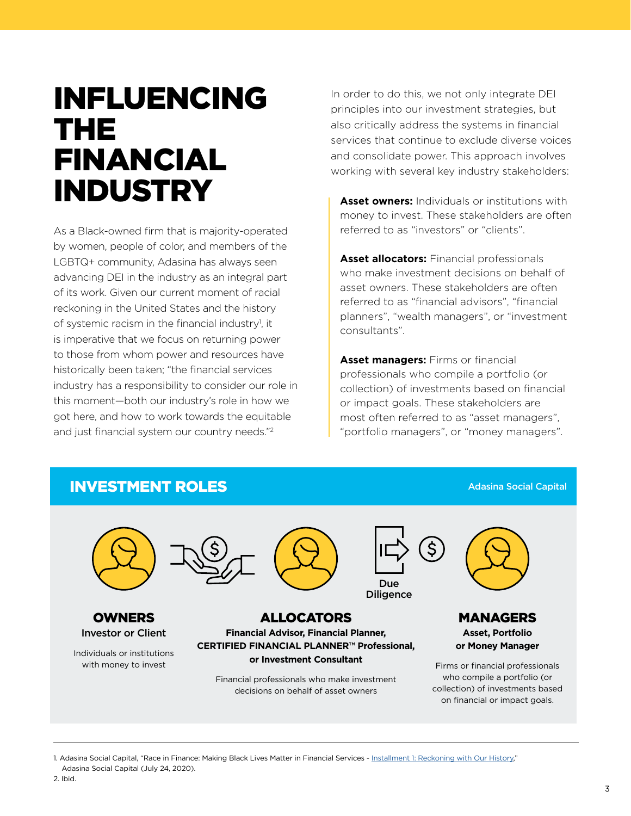# INFLUENCING THE FINANCIAL **INDUSTRY**

As a Black-owned firm that is majority-operated by women, people of color, and members of the LGBTQ+ community, Adasina has always seen advancing DEI in the industry as an integral part of its work. Given our current moment of racial reckoning in the United States and the history of systemic racism in the financial industry<sup>1</sup>, it is imperative that we focus on returning power to those from whom power and resources have historically been taken; "the financial services industry has a responsibility to consider our role in this moment—both our industry's role in how we got here, and how to work towards the equitable and just financial system our country needs."2

In order to do this, we not only integrate DEI principles into our investment strategies, but also critically address the systems in financial services that continue to exclude diverse voices and consolidate power. This approach involves working with several key industry stakeholders:

**Asset owners:** Individuals or institutions with money to invest. These stakeholders are often referred to as "investors" or "clients".

**Asset allocators:** Financial professionals who make investment decisions on behalf of asset owners. These stakeholders are often referred to as "financial advisors", "financial planners", "wealth managers", or "investment consultants".

**Asset managers:** Firms or financial professionals who compile a portfolio (or collection) of investments based on financial or impact goals. These stakeholders are most often referred to as "asset managers", "portfolio managers", or "money managers".

#### INVESTMENT ROLES



OWNERS Investor or Client

Individuals or institutions with money to invest



Ś Due

Diligence

ALLOCATORS **Financial Advisor, Financial Planner, CERTIFIED FINANCIAL PLANNER™ Professional, or Investment Consultant**

Financial professionals who make investment decisions on behalf of asset owners



MANAGERS **Asset, Portfolio or Money Manager**

Adasina Social Capital

Firms or financial professionals who compile a portfolio (or collection) of investments based on financial or impact goals.

1. Adasina Social Capital, "Race in Finance: Making Black Lives Matter in Financial Services - [Installment 1: Reckoning with Our History](https://adasina.com/race-in-finance-making-black-lives-matter-in-financial-services-installment-1-reckoning-with-our-history/)," Adasina Social Capital (July 24, 2020).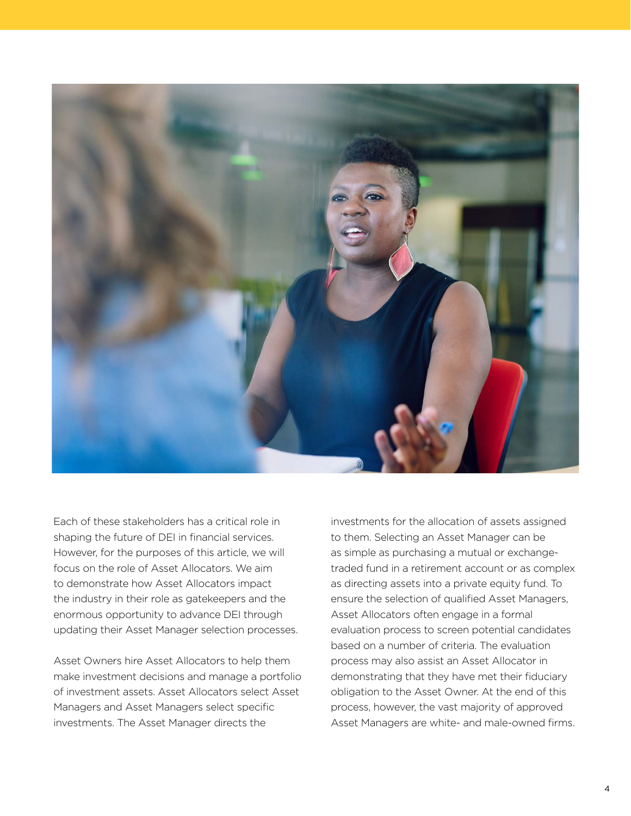

Each of these stakeholders has a critical role in shaping the future of DEI in financial services. However, for the purposes of this article, we will focus on the role of Asset Allocators. We aim to demonstrate how Asset Allocators impact the industry in their role as gatekeepers and the enormous opportunity to advance DEI through updating their Asset Manager selection processes.

Asset Owners hire Asset Allocators to help them make investment decisions and manage a portfolio of investment assets. Asset Allocators select Asset Managers and Asset Managers select specific investments. The Asset Manager directs the

investments for the allocation of assets assigned to them. Selecting an Asset Manager can be as simple as purchasing a mutual or exchangetraded fund in a retirement account or as complex as directing assets into a private equity fund. To ensure the selection of qualified Asset Managers, Asset Allocators often engage in a formal evaluation process to screen potential candidates based on a number of criteria. The evaluation process may also assist an Asset Allocator in demonstrating that they have met their fiduciary obligation to the Asset Owner. At the end of this process, however, the vast majority of approved Asset Managers are white- and male-owned firms.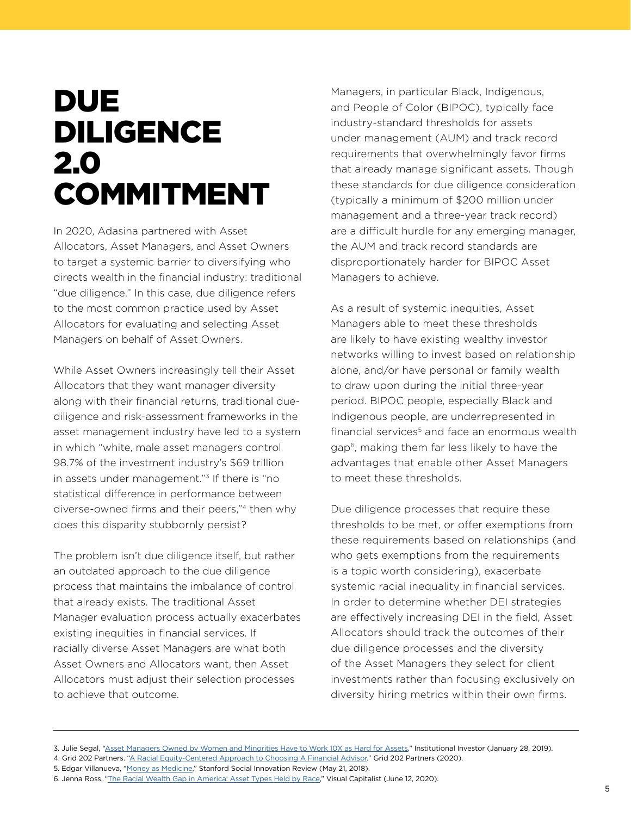# DUE DILIGENCE 2.0 COMMITMENT

In 2020, Adasina partnered with Asset Allocators, Asset Managers, and Asset Owners to target a systemic barrier to diversifying who directs wealth in the financial industry: traditional "due diligence." In this case, due diligence refers to the most common practice used by Asset Allocators for evaluating and selecting Asset Managers on behalf of Asset Owners.

While Asset Owners increasingly tell their Asset Allocators that they want manager diversity along with their financial returns, traditional duediligence and risk-assessment frameworks in the asset management industry have led to a system in which "white, male asset managers control 98.7% of the investment industry's \$69 trillion in assets under management."3 If there is "no statistical difference in performance between diverse-owned firms and their peers,"4 then why does this disparity stubbornly persist?

The problem isn't due diligence itself, but rather an outdated approach to the due diligence process that maintains the imbalance of control that already exists. The traditional Asset Manager evaluation process actually exacerbates existing inequities in financial services. If racially diverse Asset Managers are what both Asset Owners and Allocators want, then Asset Allocators must adjust their selection processes to achieve that outcome.

Managers, in particular Black, Indigenous, and People of Color (BIPOC), typically face industry-standard thresholds for assets under management (AUM) and track record requirements that overwhelmingly favor firms that already manage significant assets. Though these standards for due diligence consideration (typically a minimum of \$200 million under management and a three-year track record) are a difficult hurdle for any emerging manager, the AUM and track record standards are disproportionately harder for BIPOC Asset Managers to achieve.

As a result of systemic inequities, Asset Managers able to meet these thresholds are likely to have existing wealthy investor networks willing to invest based on relationship alone, and/or have personal or family wealth to draw upon during the initial three-year period. BIPOC people, especially Black and Indigenous people, are underrepresented in financial services<sup>5</sup> and face an enormous wealth gap6, making them far less likely to have the advantages that enable other Asset Managers to meet these thresholds.

Due diligence processes that require these thresholds to be met, or offer exemptions from these requirements based on relationships (and who gets exemptions from the requirements is a topic worth considering), exacerbate systemic racial inequality in financial services. In order to determine whether DEI strategies are effectively increasing DEI in the field, Asset Allocators should track the outcomes of their due diligence processes and the diversity of the Asset Managers they select for client investments rather than focusing exclusively on diversity hiring metrics within their own firms.

<sup>3.</sup> Julie Segal, ["Asset Managers Owned by Women and Minorities Have to Work 10X as Hard for Assets,](https://www.institutionalinvestor.com/article/b1cwvq3mc37xwk/Asset-Managers-Owned-by-Women-and-Minorities-Have-to-Work-10X-as-Hard-for-Assets)" Institutional Investor (January 28, 2019).

<sup>4.</sup> Grid 202 Partners. ["A Racial Equity-Centered Approach to Choosing A Financial Advisor](https://robasciotti.com/wp-content/uploads/2020/09/7-Questions-to-Ask-Your-Advisor.pdf)." Grid 202 Partners (2020).

<sup>5.</sup> Edgar Villanueva, "[Money as Medicine,](https://ssir.org/articles/entry/money_as_medicine)" Stanford Social Innovation Review (May 21, 2018).

<sup>6.</sup> Jenna Ross, "[The Racial Wealth Gap in America: Asset Types Held by Race](https://www.visualcapitalist.com/racial-wealth-gap/)," Visual Capitalist (June 12, 2020).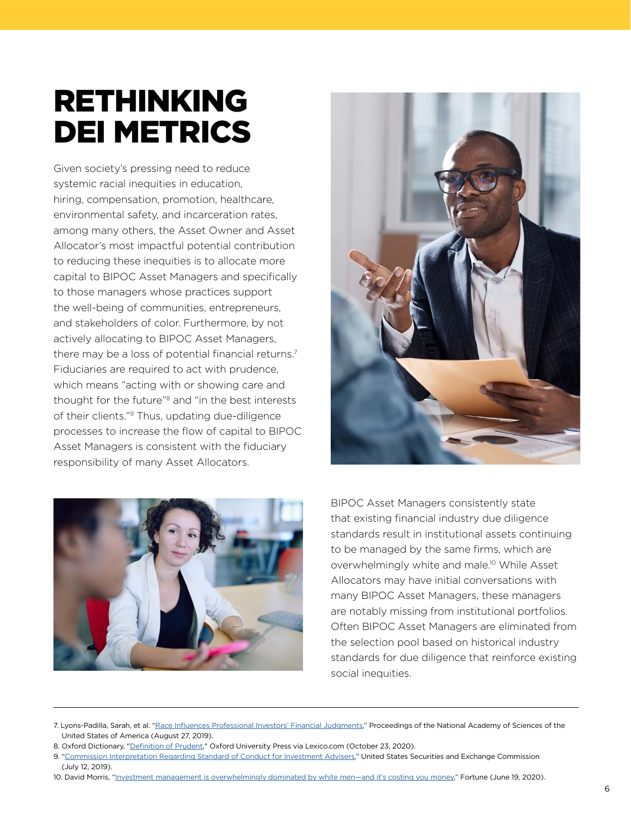# RETHINKING DEI METRICS

Given society's pressing need to reduce systemic racial inequities in education, hiring, compensation, promotion, healthcare, environmental safety, and incarceration rates, among many others, the Asset Owner and Asset Allocator's most impactful potential contribution to reducing these inequities is to allocate more capital to BIPOC Asset Managers and specifically to those managers whose practices support the well-being of communities, entrepreneurs, and stakeholders of color. Furthermore, by not actively allocating to BIPOC Asset Managers, there may be a loss of potential financial returns.<sup>7</sup> Fiduciaries are required to act with prudence, which means "acting with or showing care and thought for the future"8 and "in the best interests of their clients."9 Thus, updating due-diligence processes to increase the flow of capital to BIPOC Asset Managers is consistent with the fiduciary responsibility of many Asset Allocators.





BIPOC Asset Managers consistently state that existing financial industry due diligence standards result in institutional assets continuing to be managed by the same firms, which are overwhelmingly white and male.10 While Asset Allocators may have initial conversations with many BIPOC Asset Managers, these managers are notably missing from institutional portfolios. Often BIPOC Asset Managers are eliminated from the selection pool based on historical industry standards for due diligence that reinforce existing social inequities.

8. Oxford Dictionary, ["Definition of Prudent,](https://www.lexico.com/definition/prudent)" Oxford University Press via Lexico.com (October 23, 2020).

<sup>7.</sup> Lyons-Padilla, Sarah, et al. "[Race Influences Professional Investors' Financial Judgments](https://www.pnas.org/content/116/35/17225)," Proceedings of the National Academy of Sciences of the United States of America (August 27, 2019).

<sup>9. &</sup>quot;[Commission Interpretation Regarding Standard of Conduct for Investment Advisers](https://www.sec.gov/rules/interp/2019/ia-5248.pdf)," United States Securities and Exchange Commission (July 12, 2019).

<sup>10.</sup> David Morris, "Investment management is overwhelmingly dominated by white men-and it's costing you money," Fortune (June 19, 2020).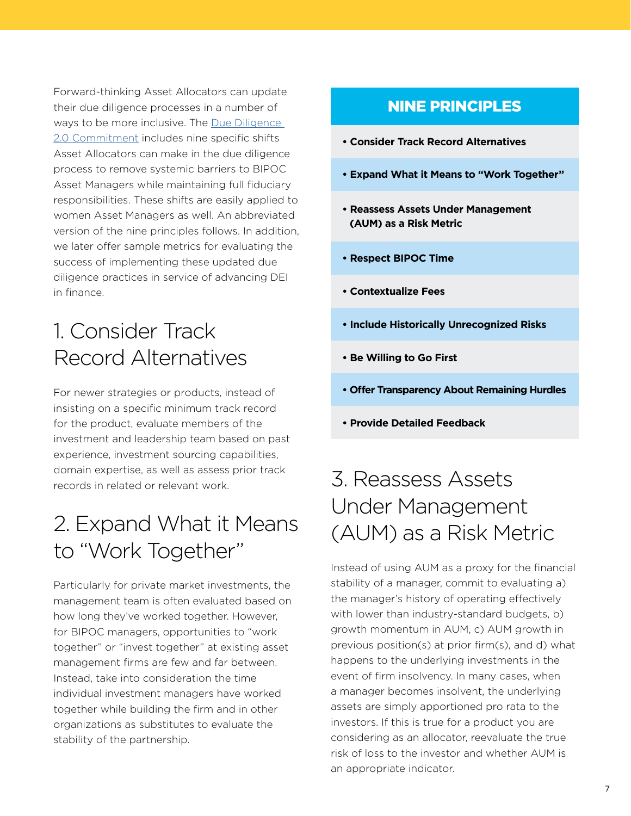Forward-thinking Asset Allocators can update their due diligence processes in a number of ways to be more inclusive. The Due Diligence [2.0 Commitment](https://www.duediligencecommitment.com) includes nine specific shifts Asset Allocators can make in the due diligence process to remove systemic barriers to BIPOC Asset Managers while maintaining full fiduciary responsibilities. These shifts are easily applied to women Asset Managers as well. An abbreviated version of the nine principles follows. In addition, we later offer sample metrics for evaluating the success of implementing these updated due diligence practices in service of advancing DEI in finance.

### 1. Consider Track Record Alternatives

For newer strategies or products, instead of insisting on a specific minimum track record for the product, evaluate members of the investment and leadership team based on past experience, investment sourcing capabilities, domain expertise, as well as assess prior track records in related or relevant work.

### 2. Expand What it Means to "Work Together"

Particularly for private market investments, the management team is often evaluated based on how long they've worked together. However, for BIPOC managers, opportunities to "work together" or "invest together" at existing asset management firms are few and far between. Instead, take into consideration the time individual investment managers have worked together while building the firm and in other organizations as substitutes to evaluate the stability of the partnership.

#### NINE PRINCIPLES

- **Consider Track Record Alternatives**
- **Expand What it Means to "Work Together"**
- **Reassess Assets Under Management (AUM) as a Risk Metric**
- **Respect BIPOC Time**
- **Contextualize Fees**
- **Include Historically Unrecognized Risks**
- **Be Willing to Go First**
- **Offer Transparency About Remaining Hurdles**
- **Provide Detailed Feedback**

### 3. Reassess Assets Under Management (AUM) as a Risk Metric

Instead of using AUM as a proxy for the financial stability of a manager, commit to evaluating a) the manager's history of operating effectively with lower than industry-standard budgets, b) growth momentum in AUM, c) AUM growth in previous position(s) at prior firm(s), and d) what happens to the underlying investments in the event of firm insolvency. In many cases, when a manager becomes insolvent, the underlying assets are simply apportioned pro rata to the investors. If this is true for a product you are considering as an allocator, reevaluate the true risk of loss to the investor and whether AUM is an appropriate indicator.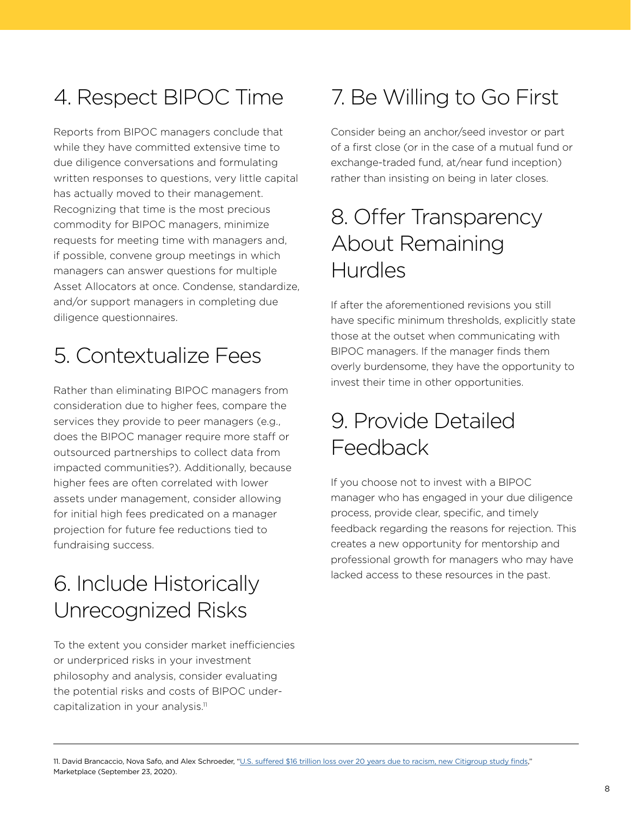### 4. Respect BIPOC Time

Reports from BIPOC managers conclude that while they have committed extensive time to due diligence conversations and formulating written responses to questions, very little capital has actually moved to their management. Recognizing that time is the most precious commodity for BIPOC managers, minimize requests for meeting time with managers and, if possible, convene group meetings in which managers can answer questions for multiple Asset Allocators at once. Condense, standardize, and/or support managers in completing due diligence questionnaires.

## 5. Contextualize Fees

Rather than eliminating BIPOC managers from consideration due to higher fees, compare the services they provide to peer managers (e.g., does the BIPOC manager require more staff or outsourced partnerships to collect data from impacted communities?). Additionally, because higher fees are often correlated with lower assets under management, consider allowing for initial high fees predicated on a manager projection for future fee reductions tied to fundraising success.

### 6. Include Historically Unrecognized Risks

To the extent you consider market inefficiencies or underpriced risks in your investment philosophy and analysis, consider evaluating the potential risks and costs of BIPOC undercapitalization in your analysis.<sup>11</sup>

# 7. Be Willing to Go First

Consider being an anchor/seed investor or part of a first close (or in the case of a mutual fund or exchange-traded fund, at/near fund inception) rather than insisting on being in later closes.

### 8. Offer Transparency About Remaining Hurdles

If after the aforementioned revisions you still have specific minimum thresholds, explicitly state those at the outset when communicating with BIPOC managers. If the manager finds them overly burdensome, they have the opportunity to invest their time in other opportunities.

### 9. Provide Detailed Feedback

If you choose not to invest with a BIPOC manager who has engaged in your due diligence process, provide clear, specific, and timely feedback regarding the reasons for rejection. This creates a new opportunity for mentorship and professional growth for managers who may have lacked access to these resources in the past.

<sup>11.</sup> David Brancaccio, Nova Safo, and Alex Schroeder, ["U.S. suffered \\$16 trillion loss over 20 years due to racism, new Citigroup study finds](https://www.marketplace.org/2020/09/23/racism-economic-loss-citigroup-16-trillion-lending-wealth-gap/)," Marketplace (September 23, 2020).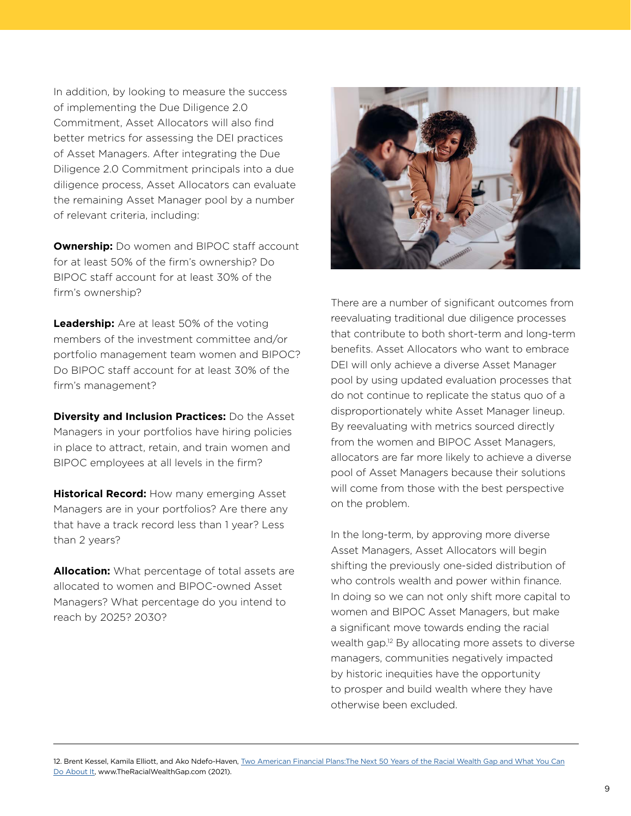In addition, by looking to measure the success of implementing the Due Diligence 2.0 Commitment, Asset Allocators will also find better metrics for assessing the DEI practices of Asset Managers. After integrating the Due Diligence 2.0 Commitment principals into a due diligence process, Asset Allocators can evaluate the remaining Asset Manager pool by a number of relevant criteria, including:

**Ownership:** Do women and BIPOC staff account for at least 50% of the firm's ownership? Do BIPOC staff account for at least 30% of the firm's ownership?

**Leadership:** Are at least 50% of the voting members of the investment committee and/or portfolio management team women and BIPOC? Do BIPOC staff account for at least 30% of the firm's management?

**Diversity and Inclusion Practices:** Do the Asset Managers in your portfolios have hiring policies in place to attract, retain, and train women and BIPOC employees at all levels in the firm?

**Historical Record:** How many emerging Asset Managers are in your portfolios? Are there any that have a track record less than 1 year? Less than 2 years?

**Allocation:** What percentage of total assets are allocated to women and BIPOC-owned Asset Managers? What percentage do you intend to reach by 2025? 2030?



There are a number of significant outcomes from reevaluating traditional due diligence processes that contribute to both short-term and long-term benefits. Asset Allocators who want to embrace DEI will only achieve a diverse Asset Manager pool by using updated evaluation processes that do not continue to replicate the status quo of a disproportionately white Asset Manager lineup. By reevaluating with metrics sourced directly from the women and BIPOC Asset Managers, allocators are far more likely to achieve a diverse pool of Asset Managers because their solutions will come from those with the best perspective on the problem.

In the long-term, by approving more diverse Asset Managers, Asset Allocators will begin shifting the previously one-sided distribution of who controls wealth and power within finance. In doing so we can not only shift more capital to women and BIPOC Asset Managers, but make a significant move towards ending the racial wealth gap.12 By allocating more assets to diverse managers, communities negatively impacted by historic inequities have the opportunity to prosper and build wealth where they have otherwise been excluded.

<sup>12.</sup> Brent Kessel, Kamila Elliott, and Ako Ndefo-Haven, [Two American Financial Plans:The Next 50 Years of the Racial Wealth Gap and What You Can](https://theracialwealthgap.com) [Do About It,](https://theracialwealthgap.com) www.TheRacialWealthGap.com (2021).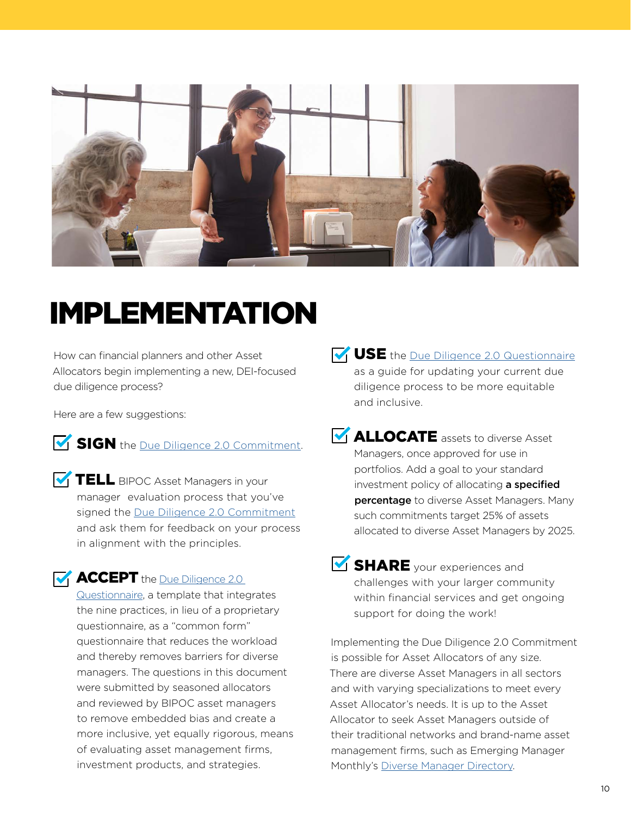

# IMPLEMENTATION

How can financial planners and other Asset Allocators begin implementing a new, DEI-focused due diligence process?

Here are a few suggestions:

SIGN the [Due Diligence 2.0 Commitment.](https://www.duediligencecommitment.com)

**TELL** BIPOC Asset Managers in your manager evaluation process that you've signed the [Due Diligence 2.0 Commitment](https://www.duediligencecommitment.com) and ask them for feedback on your process in alignment with the principles.

**ACCEPT** the Due Diligence 2.0

[Questionnaire](https://www.duediligencecommitment.com/resources), a template that integrates the nine practices, in lieu of a proprietary questionnaire, as a "common form" questionnaire that reduces the workload and thereby removes barriers for diverse managers. The questions in this document were submitted by seasoned allocators and reviewed by BIPOC asset managers to remove embedded bias and create a more inclusive, yet equally rigorous, means of evaluating asset management firms, investment products, and strategies.

**USE** the [Due Diligence 2.0 Questionnaire](https://www.duediligencecommitment.com/resources) as a guide for updating your current due diligence process to be more equitable and inclusive.

- **M** ALLOCATE assets to diverse Asset Managers, once approved for use in portfolios. Add a goal to your standard investment policy of allocating a specified **percentage** to diverse Asset Managers. Many such commitments target 25% of assets allocated to diverse Asset Managers by 2025.
- **SHARE** your experiences and challenges with your larger community within financial services and get ongoing support for doing the work!

Implementing the Due Diligence 2.0 Commitment is possible for Asset Allocators of any size. There are diverse Asset Managers in all sectors and with varying specializations to meet every Asset Allocator's needs. It is up to the Asset Allocator to seek Asset Managers outside of their traditional networks and brand-name asset management firms, such as Emerging Manager Monthly's [Diverse Manager Directory.](https://emergingmanagermonthly.com/diverse-manager-directory/)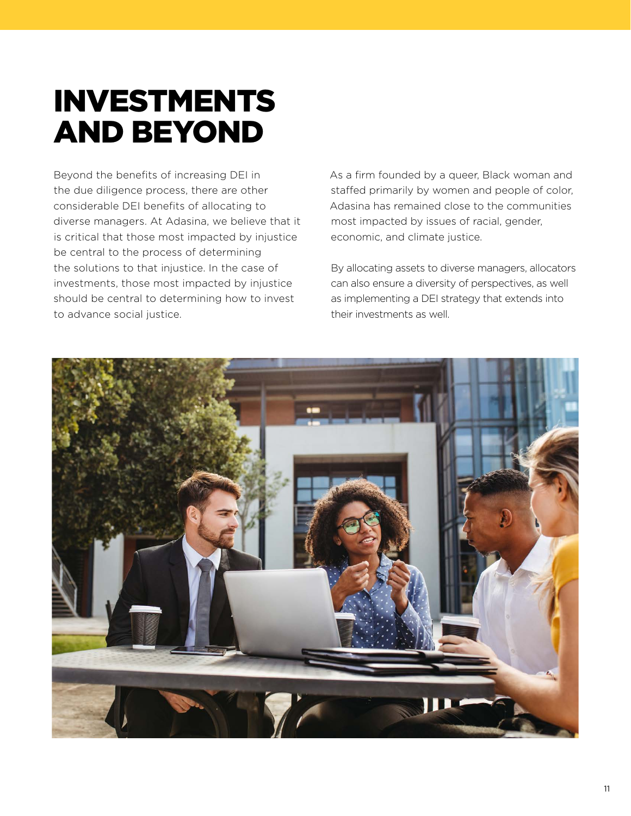# INVESTMENTS AND BEYOND

Beyond the benefits of increasing DEI in the due diligence process, there are other considerable DEI benefits of allocating to diverse managers. At Adasina, we believe that it is critical that those most impacted by injustice be central to the process of determining the solutions to that injustice. In the case of investments, those most impacted by injustice should be central to determining how to invest to advance social justice.

As a firm founded by a queer, Black woman and staffed primarily by women and people of color, Adasina has remained close to the communities most impacted by issues of racial, gender, economic, and climate justice.

By allocating assets to diverse managers, allocators can also ensure a diversity of perspectives, as well as implementing a DEI strategy that extends into their investments as well.